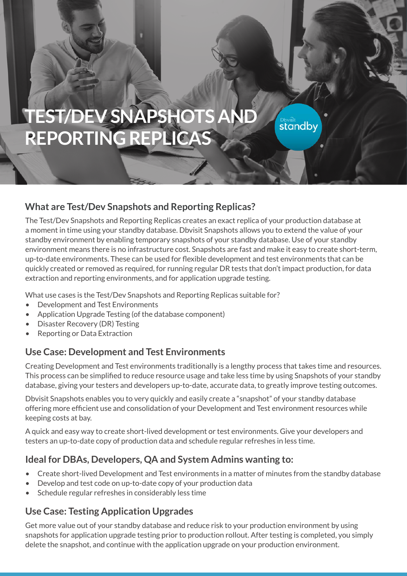# **TEST/DEV SNAPSHOTS AND REPORTING REPLICAS**

#### **What are Test/Dev Snapshots and Reporting Replicas?**

The Test/Dev Snapshots and Reporting Replicas creates an exact replica of your production database at a moment in time using your standby database. Dbvisit Snapshots allows you to extend the value of your standby environment by enabling temporary snapshots of your standby database. Use of your standby environment means there is no infrastructure cost. Snapshots are fast and make it easy to create short-term, up-to-date environments. These can be used for flexible development and test environments that can be quickly created or removed as required, for running regular DR tests that don't impact production, for data extraction and reporting environments, and for application upgrade testing.

**Standby** 

What use cases is the Test/Dev Snapshots and Reporting Replicas suitable for?

- Development and Test Environments
- Application Upgrade Testing (of the database component)
- Disaster Recovery (DR) Testing
- Reporting or Data Extraction

#### **Use Case: Development and Test Environments**

Creating Development and Test environments traditionally is a lengthy process that takes time and resources. This process can be simplified to reduce resource usage and take less time by using Snapshots of your standby database, giving your testers and developers up-to-date, accurate data, to greatly improve testing outcomes.

Dbvisit Snapshots enables you to very quickly and easily create a "snapshot" of your standby database offering more efficient use and consolidation of your Development and Test environment resources while keeping costs at bay.

A quick and easy way to create short-lived development or test environments. Give your developers and testers an up-to-date copy of production data and schedule regular refreshes in less time.

# **Ideal for DBAs, Developers, QA and System Admins wanting to:**

- Create short-lived Development and Test environments in a matter of minutes from the standby database
- Develop and test code on up-to-date copy of your production data
- Schedule regular refreshes in considerably less time

#### **Use Case: Testing Application Upgrades**

Get more value out of your standby database and reduce risk to your production environment by using snapshots for application upgrade testing prior to production rollout. After testing is completed, you simply delete the snapshot, and continue with the application upgrade on your production environment.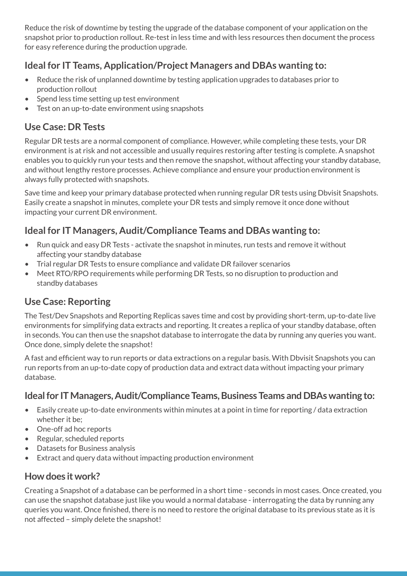Reduce the risk of downtime by testing the upgrade of the database component of your application on the snapshot prior to production rollout. Re-test in less time and with less resources then document the process for easy reference during the production upgrade.

# **Ideal for IT Teams, Application/Project Managers and DBAs wanting to:**

- Reduce the risk of unplanned downtime by testing application upgrades to databases prior to production rollout
- Spend less time setting up test environment
- Test on an up-to-date environment using snapshots

# **Use Case: DR Tests**

Regular DR tests are a normal component of compliance. However, while completing these tests, your DR environment is at risk and not accessible and usually requires restoring after testing is complete. A snapshot enables you to quickly run your tests and then remove the snapshot, without affecting your standby database, and without lengthy restore processes. Achieve compliance and ensure your production environment is always fully protected with snapshots.

Save time and keep your primary database protected when running regular DR tests using Dbvisit Snapshots. Easily create a snapshot in minutes, complete your DR tests and simply remove it once done without impacting your current DR environment.

# **Ideal for IT Managers, Audit/Compliance Teams and DBAs wanting to:**

- Run quick and easy DR Tests activate the snapshot in minutes, run tests and remove it without affecting your standby database
- Trial regular DR Tests to ensure compliance and validate DR failover scenarios
- Meet RTO/RPO requirements while performing DR Tests, so no disruption to production and standby databases

# **Use Case: Reporting**

The Test/Dev Snapshots and Reporting Replicas saves time and cost by providing short-term, up-to-date live environments for simplifying data extracts and reporting. It creates a replica of your standby database, often in seconds. You can then use the snapshot database to interrogate the data by running any queries you want. Once done, simply delete the snapshot!

A fast and efficient way to run reports or data extractions on a regular basis. With Dbvisit Snapshots you can run reports from an up-to-date copy of production data and extract data without impacting your primary database.

# **Ideal for IT Managers, Audit/Compliance Teams, Business Teams and DBAs wanting to:**

- Easily create up-to-date environments within minutes at a point in time for reporting / data extraction whether it be;
- One-off ad hoc reports
- Regular, scheduled reports
- Datasets for Business analysis
- Extract and query data without impacting production environment

# **How does it work?**

Creating a Snapshot of a database can be performed in a short time - seconds in most cases. Once created, you can use the snapshot database just like you would a normal database - interrogating the data by running any queries you want. Once finished, there is no need to restore the original database to its previous state as it is not affected – simply delete the snapshot!